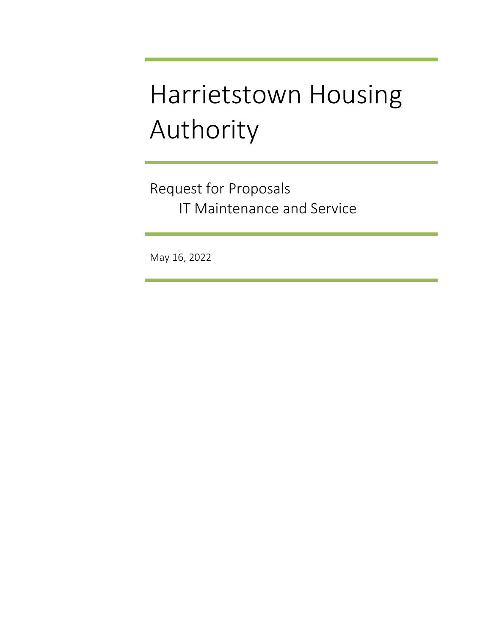# Harrietstown Housing Authority

Request for Proposals IT Maintenance and Service

May 16, 2022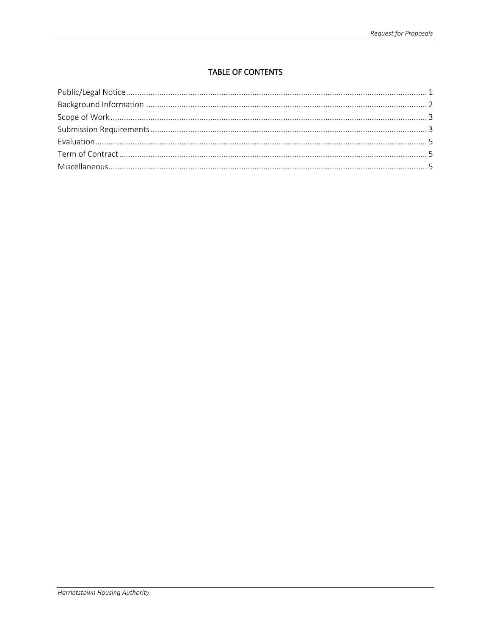# **TABLE OF CONTENTS**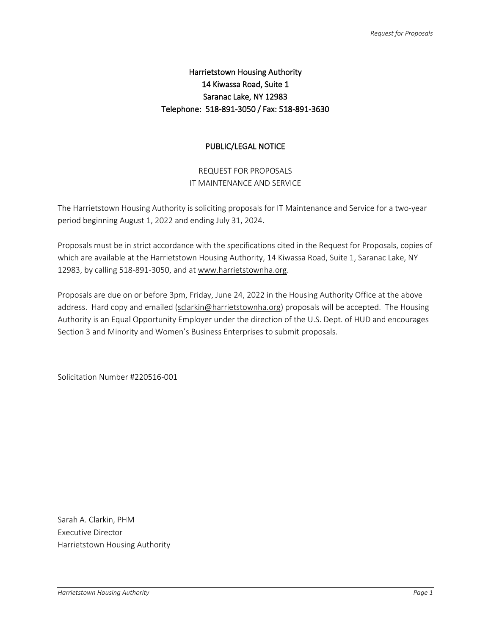# Harrietstown Housing Authority 14 Kiwassa Road, Suite 1 Saranac Lake, NY 12983 Telephone: 518-891-3050 / Fax: 518-891-3630

## PUBLIC/LEGAL NOTICE

REQUEST FOR PROPOSALS IT MAINTENANCE AND SERVICE

The Harrietstown Housing Authority is soliciting proposals for IT Maintenance and Service for a two-year period beginning August 1, 2022 and ending July 31, 2024.

Proposals must be in strict accordance with the specifications cited in the Request for Proposals, copies of which are available at the Harrietstown Housing Authority, 14 Kiwassa Road, Suite 1, Saranac Lake, NY 12983, by calling 518-891-3050, and a[t www.harrietstownha.org.](http://www.harrietstownha.org/)

Proposals are due on or before 3pm, Friday, June 24, 2022 in the Housing Authority Office at the above address. Hard copy and emailed [\(sclarkin@harrietstownha.org\)](mailto:sclarkin@harrietstownha.org) proposals will be accepted. The Housing Authority is an Equal Opportunity Employer under the direction of the U.S. Dept. of HUD and encourages Section 3 and Minority and Women's Business Enterprises to submit proposals.

Solicitation Number #220516-001

Sarah A. Clarkin, PHM Executive Director Harrietstown Housing Authority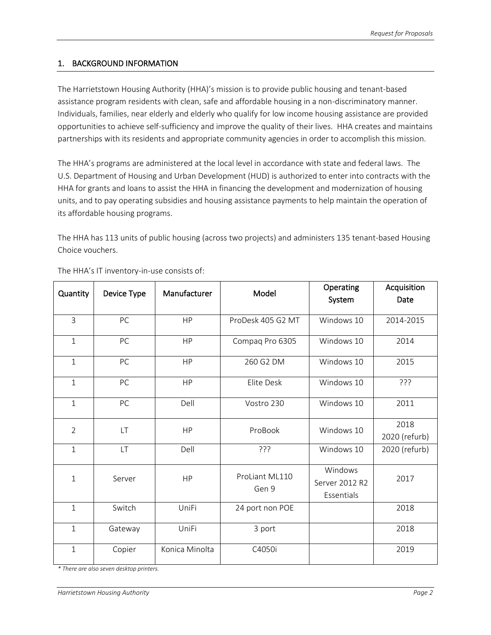#### 1. BACKGROUND INFORMATION

The Harrietstown Housing Authority (HHA)'s mission is to provide public housing and tenant-based assistance program residents with clean, safe and affordable housing in a non-discriminatory manner. Individuals, families, near elderly and elderly who qualify for low income housing assistance are provided opportunities to achieve self-sufficiency and improve the quality of their lives. HHA creates and maintains partnerships with its residents and appropriate community agencies in order to accomplish this mission.

The HHA's programs are administered at the local level in accordance with state and federal laws. The U.S. Department of Housing and Urban Development (HUD) is authorized to enter into contracts with the HHA for grants and loans to assist the HHA in financing the development and modernization of housing units, and to pay operating subsidies and housing assistance payments to help maintain the operation of its affordable housing programs.

The HHA has 113 units of public housing (across two projects) and administers 135 tenant-based Housing Choice vouchers.

| Quantity       | Device Type | Manufacturer   | Model                   | Operating<br>System | Acquisition<br>Date |
|----------------|-------------|----------------|-------------------------|---------------------|---------------------|
|                |             |                |                         |                     |                     |
| 3              | PC          | <b>HP</b>      | ProDesk 405 G2 MT       | Windows 10          | 2014-2015           |
| $\mathbf{1}$   | PC          | <b>HP</b>      | Compaq Pro 6305         | Windows 10          | 2014                |
| $\mathbf{1}$   | PC          | <b>HP</b>      | 260 G2 DM               | Windows 10          | 2015                |
| $\mathbf{1}$   | PC          | <b>HP</b>      | Elite Desk              | Windows 10          | ?ְרָךָ              |
| $\mathbf{1}$   | PC          | Dell           | Vostro 230              | Windows 10          | 2011                |
| $\overline{2}$ | LT          | <b>HP</b>      | ProBook                 | Windows 10          | 2018                |
|                |             |                |                         |                     | 2020 (refurb)       |
| $\mathbf{1}$   | LT          | Dell           | ַרְרְךָ                 | Windows 10          | 2020 (refurb)       |
| $\mathbf 1$    | Server      | HP             | ProLiant ML110<br>Gen 9 | Windows             | 2017                |
|                |             |                |                         | Server 2012 R2      |                     |
|                |             |                |                         | Essentials          |                     |
| $\mathbf{1}$   | Switch      | UniFi          | 24 port non POE         |                     | 2018                |
| $\mathbf{1}$   | Gateway     | UniFi          | 3 port                  |                     | 2018                |
| $\mathbf{1}$   | Copier      | Konica Minolta | C4050i                  |                     | 2019                |

The HHA's IT inventory-in-use consists of:

*\* There are also seven desktop printers.*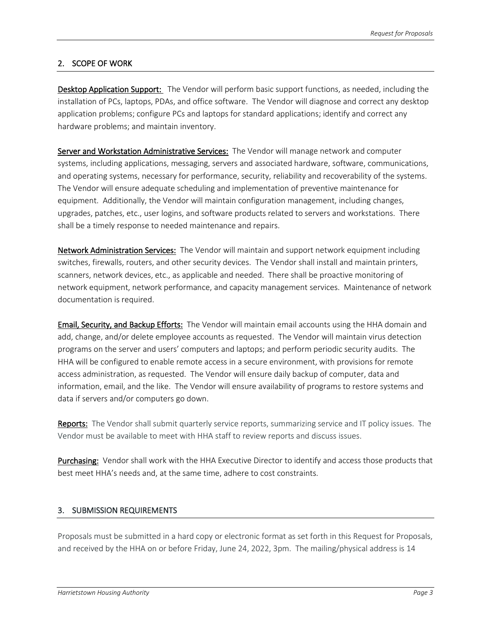## 2. SCOPE OF WORK

Desktop Application Support: The Vendor will perform basic support functions, as needed, including the installation of PCs, laptops, PDAs, and office software. The Vendor will diagnose and correct any desktop application problems; configure PCs and laptops for standard applications; identify and correct any hardware problems; and maintain inventory.

Server and Workstation Administrative Services: The Vendor will manage network and computer systems, including applications, messaging, servers and associated hardware, software, communications, and operating systems, necessary for performance, security, reliability and recoverability of the systems. The Vendor will ensure adequate scheduling and implementation of preventive maintenance for equipment. Additionally, the Vendor will maintain configuration management, including changes, upgrades, patches, etc., user logins, and software products related to servers and workstations. There shall be a timely response to needed maintenance and repairs.

Network Administration Services: The Vendor will maintain and support network equipment including switches, firewalls, routers, and other security devices. The Vendor shall install and maintain printers, scanners, network devices, etc., as applicable and needed. There shall be proactive monitoring of network equipment, network performance, and capacity management services. Maintenance of network documentation is required.

Email, Security, and Backup Efforts: The Vendor will maintain email accounts using the HHA domain and add, change, and/or delete employee accounts as requested. The Vendor will maintain virus detection programs on the server and users' computers and laptops; and perform periodic security audits. The HHA will be configured to enable remote access in a secure environment, with provisions for remote access administration, as requested. The Vendor will ensure daily backup of computer, data and information, email, and the like. The Vendor will ensure availability of programs to restore systems and data if servers and/or computers go down.

Reports: The Vendor shall submit quarterly service reports, summarizing service and IT policy issues. The Vendor must be available to meet with HHA staff to review reports and discuss issues.

Purchasing: Vendor shall work with the HHA Executive Director to identify and access those products that best meet HHA's needs and, at the same time, adhere to cost constraints.

#### 3. SUBMISSION REQUIREMENTS

Proposals must be submitted in a hard copy or electronic format as set forth in this Request for Proposals, and received by the HHA on or before Friday, June 24, 2022, 3pm. The mailing/physical address is 14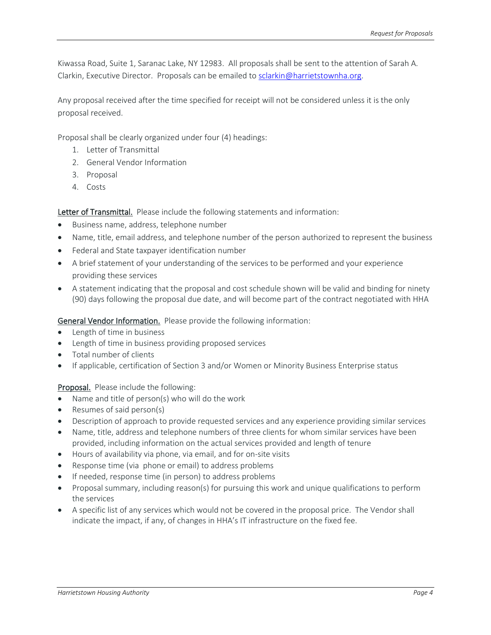Kiwassa Road, Suite 1, Saranac Lake, NY 12983. All proposals shall be sent to the attention of Sarah A. Clarkin, Executive Director. Proposals can be emailed to [sclarkin@harrietstownha.org.](mailto:sclarkin@harrietstownha.org)

Any proposal received after the time specified for receipt will not be considered unless it is the only proposal received.

Proposal shall be clearly organized under four (4) headings:

- 1. Letter of Transmittal
- 2. General Vendor Information
- 3. Proposal
- 4. Costs

Letter of Transmittal. Please include the following statements and information:

- Business name, address, telephone number
- Name, title, email address, and telephone number of the person authorized to represent the business
- Federal and State taxpayer identification number
- A brief statement of your understanding of the services to be performed and your experience providing these services
- A statement indicating that the proposal and cost schedule shown will be valid and binding for ninety (90) days following the proposal due date, and will become part of the contract negotiated with HHA

General Vendor Information. Please provide the following information:

- Length of time in business
- Length of time in business providing proposed services
- Total number of clients
- If applicable, certification of Section 3 and/or Women or Minority Business Enterprise status

Proposal. Please include the following:

- Name and title of person(s) who will do the work
- Resumes of said person(s)
- Description of approach to provide requested services and any experience providing similar services
- Name, title, address and telephone numbers of three clients for whom similar services have been provided, including information on the actual services provided and length of tenure
- Hours of availability via phone, via email, and for on-site visits
- Response time (via phone or email) to address problems
- If needed, response time (in person) to address problems
- Proposal summary, including reason(s) for pursuing this work and unique qualifications to perform the services
- A specific list of any services which would not be covered in the proposal price. The Vendor shall indicate the impact, if any, of changes in HHA's IT infrastructure on the fixed fee.